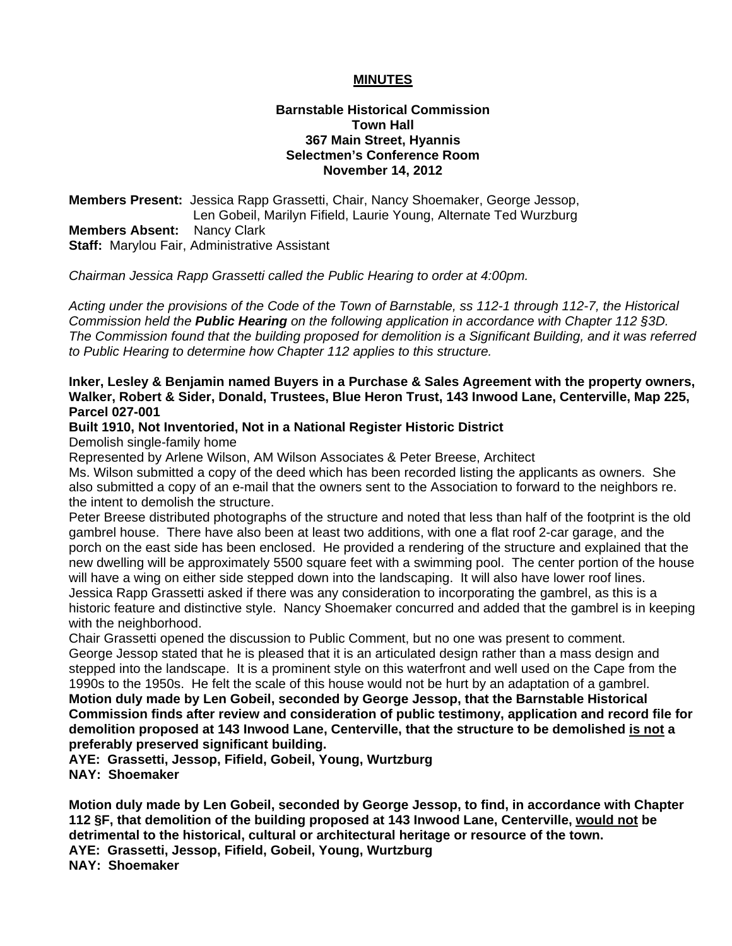#### **MINUTES**

#### **Barnstable Historical Commission Town Hall 367 Main Street, Hyannis Selectmen's Conference Room November 14, 2012**

**Members Present:** Jessica Rapp Grassetti, Chair, Nancy Shoemaker, George Jessop, Len Gobeil, Marilyn Fifield, Laurie Young, Alternate Ted Wurzburg **Members Absent:** Nancy Clark **Staff:** Marylou Fair, Administrative Assistant

*Chairman Jessica Rapp Grassetti called the Public Hearing to order at 4:00pm.* 

*Acting under the provisions of the Code of the Town of Barnstable, ss 112-1 through 112-7, the Historical Commission held the Public Hearing on the following application in accordance with Chapter 112 §3D. The Commission found that the building proposed for demolition is a Significant Building, and it was referred to Public Hearing to determine how Chapter 112 applies to this structure.* 

#### **Inker, Lesley & Benjamin named Buyers in a Purchase & Sales Agreement with the property owners, Walker, Robert & Sider, Donald, Trustees, Blue Heron Trust, 143 Inwood Lane, Centerville, Map 225, Parcel 027-001**

# **Built 1910, Not Inventoried, Not in a National Register Historic District**

Demolish single-family home

Represented by Arlene Wilson, AM Wilson Associates & Peter Breese, Architect

Ms. Wilson submitted a copy of the deed which has been recorded listing the applicants as owners. She also submitted a copy of an e-mail that the owners sent to the Association to forward to the neighbors re. the intent to demolish the structure.

Peter Breese distributed photographs of the structure and noted that less than half of the footprint is the old gambrel house. There have also been at least two additions, with one a flat roof 2-car garage, and the porch on the east side has been enclosed. He provided a rendering of the structure and explained that the new dwelling will be approximately 5500 square feet with a swimming pool. The center portion of the house will have a wing on either side stepped down into the landscaping. It will also have lower roof lines. Jessica Rapp Grassetti asked if there was any consideration to incorporating the gambrel, as this is a historic feature and distinctive style. Nancy Shoemaker concurred and added that the gambrel is in keeping with the neighborhood.

Chair Grassetti opened the discussion to Public Comment, but no one was present to comment. George Jessop stated that he is pleased that it is an articulated design rather than a mass design and stepped into the landscape. It is a prominent style on this waterfront and well used on the Cape from the 1990s to the 1950s. He felt the scale of this house would not be hurt by an adaptation of a gambrel.

**Motion duly made by Len Gobeil, seconded by George Jessop, that the Barnstable Historical Commission finds after review and consideration of public testimony, application and record file for demolition proposed at 143 Inwood Lane, Centerville, that the structure to be demolished is not a preferably preserved significant building.** 

**AYE: Grassetti, Jessop, Fifield, Gobeil, Young, Wurtzburg NAY: Shoemaker** 

**Motion duly made by Len Gobeil, seconded by George Jessop, to find, in accordance with Chapter 112 §F, that demolition of the building proposed at 143 Inwood Lane, Centerville, would not be detrimental to the historical, cultural or architectural heritage or resource of the town. AYE: Grassetti, Jessop, Fifield, Gobeil, Young, Wurtzburg NAY: Shoemaker**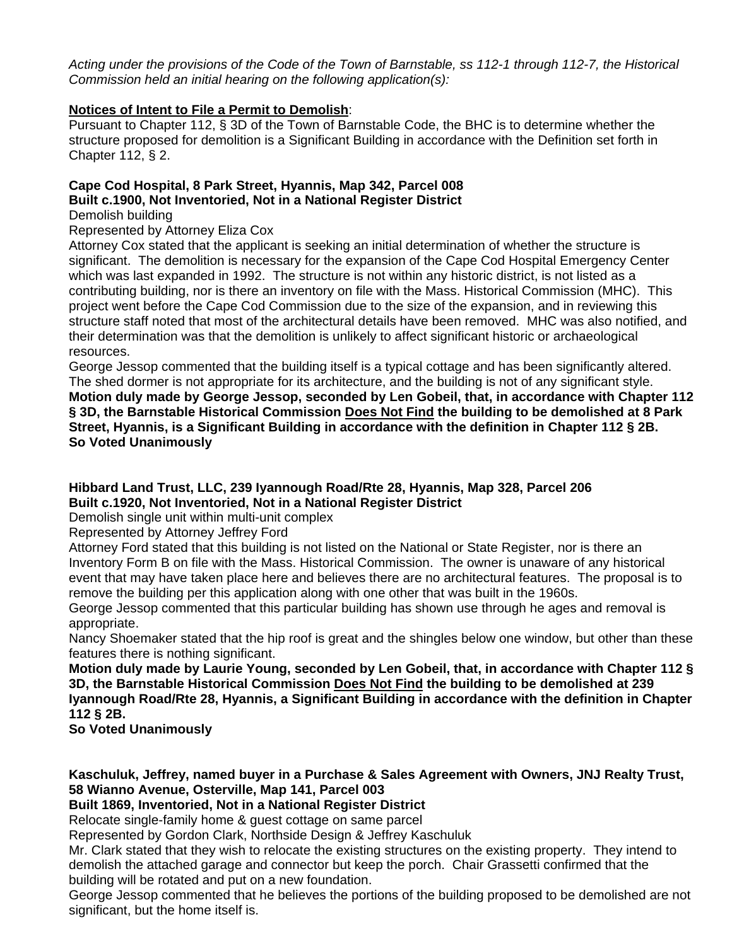*Acting under the provisions of the Code of the Town of Barnstable, ss 112-1 through 112-7, the Historical Commission held an initial hearing on the following application(s):* 

# **Notices of Intent to File a Permit to Demolish**:

Pursuant to Chapter 112, § 3D of the Town of Barnstable Code, the BHC is to determine whether the structure proposed for demolition is a Significant Building in accordance with the Definition set forth in Chapter 112, § 2.

# **Cape Cod Hospital, 8 Park Street, Hyannis, Map 342, Parcel 008 Built c.1900, Not Inventoried, Not in a National Register District**

Demolish building

Represented by Attorney Eliza Cox

Attorney Cox stated that the applicant is seeking an initial determination of whether the structure is significant. The demolition is necessary for the expansion of the Cape Cod Hospital Emergency Center which was last expanded in 1992. The structure is not within any historic district, is not listed as a contributing building, nor is there an inventory on file with the Mass. Historical Commission (MHC). This project went before the Cape Cod Commission due to the size of the expansion, and in reviewing this structure staff noted that most of the architectural details have been removed. MHC was also notified, and their determination was that the demolition is unlikely to affect significant historic or archaeological resources.

George Jessop commented that the building itself is a typical cottage and has been significantly altered. The shed dormer is not appropriate for its architecture, and the building is not of any significant style. **Motion duly made by George Jessop, seconded by Len Gobeil, that, in accordance with Chapter 112 § 3D, the Barnstable Historical Commission Does Not Find the building to be demolished at 8 Park Street, Hyannis, is a Significant Building in accordance with the definition in Chapter 112 § 2B. So Voted Unanimously**

# **Hibbard Land Trust, LLC, 239 Iyannough Road/Rte 28, Hyannis, Map 328, Parcel 206 Built c.1920, Not Inventoried, Not in a National Register District**

Demolish single unit within multi-unit complex

Represented by Attorney Jeffrey Ford

Attorney Ford stated that this building is not listed on the National or State Register, nor is there an Inventory Form B on file with the Mass. Historical Commission. The owner is unaware of any historical event that may have taken place here and believes there are no architectural features. The proposal is to remove the building per this application along with one other that was built in the 1960s.

George Jessop commented that this particular building has shown use through he ages and removal is appropriate.

Nancy Shoemaker stated that the hip roof is great and the shingles below one window, but other than these features there is nothing significant.

**Motion duly made by Laurie Young, seconded by Len Gobeil, that, in accordance with Chapter 112 § 3D, the Barnstable Historical Commission Does Not Find the building to be demolished at 239 Iyannough Road/Rte 28, Hyannis, a Significant Building in accordance with the definition in Chapter 112 § 2B.** 

**So Voted Unanimously**

**Kaschuluk, Jeffrey, named buyer in a Purchase & Sales Agreement with Owners, JNJ Realty Trust, 58 Wianno Avenue, Osterville, Map 141, Parcel 003** 

**Built 1869, Inventoried, Not in a National Register District** 

Relocate single-family home & guest cottage on same parcel

Represented by Gordon Clark, Northside Design & Jeffrey Kaschuluk

Mr. Clark stated that they wish to relocate the existing structures on the existing property. They intend to demolish the attached garage and connector but keep the porch. Chair Grassetti confirmed that the building will be rotated and put on a new foundation.

George Jessop commented that he believes the portions of the building proposed to be demolished are not significant, but the home itself is.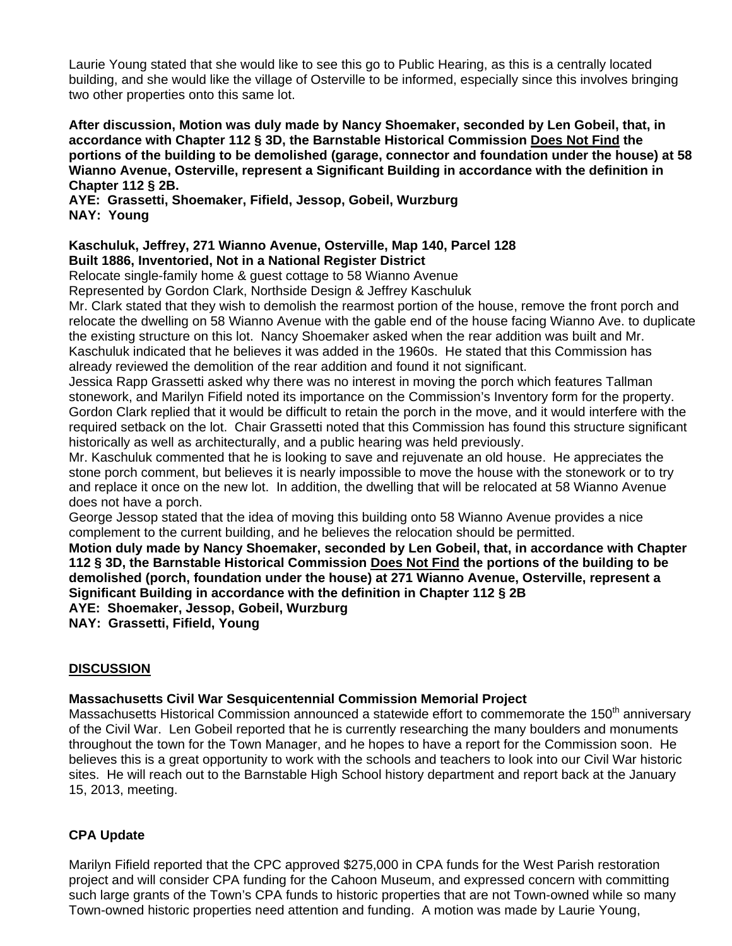Laurie Young stated that she would like to see this go to Public Hearing, as this is a centrally located building, and she would like the village of Osterville to be informed, especially since this involves bringing two other properties onto this same lot.

**After discussion, Motion was duly made by Nancy Shoemaker, seconded by Len Gobeil, that, in accordance with Chapter 112 § 3D, the Barnstable Historical Commission Does Not Find the portions of the building to be demolished (garage, connector and foundation under the house) at 58 Wianno Avenue, Osterville, represent a Significant Building in accordance with the definition in Chapter 112 § 2B.** 

**AYE: Grassetti, Shoemaker, Fifield, Jessop, Gobeil, Wurzburg NAY: Young**

#### **Kaschuluk, Jeffrey, 271 Wianno Avenue, Osterville, Map 140, Parcel 128 Built 1886, Inventoried, Not in a National Register District**

Relocate single-family home & guest cottage to 58 Wianno Avenue

Represented by Gordon Clark, Northside Design & Jeffrey Kaschuluk

Mr. Clark stated that they wish to demolish the rearmost portion of the house, remove the front porch and relocate the dwelling on 58 Wianno Avenue with the gable end of the house facing Wianno Ave. to duplicate the existing structure on this lot. Nancy Shoemaker asked when the rear addition was built and Mr. Kaschuluk indicated that he believes it was added in the 1960s. He stated that this Commission has already reviewed the demolition of the rear addition and found it not significant.

Jessica Rapp Grassetti asked why there was no interest in moving the porch which features Tallman stonework, and Marilyn Fifield noted its importance on the Commission's Inventory form for the property. Gordon Clark replied that it would be difficult to retain the porch in the move, and it would interfere with the required setback on the lot. Chair Grassetti noted that this Commission has found this structure significant historically as well as architecturally, and a public hearing was held previously.

Mr. Kaschuluk commented that he is looking to save and rejuvenate an old house. He appreciates the stone porch comment, but believes it is nearly impossible to move the house with the stonework or to try and replace it once on the new lot. In addition, the dwelling that will be relocated at 58 Wianno Avenue does not have a porch.

George Jessop stated that the idea of moving this building onto 58 Wianno Avenue provides a nice complement to the current building, and he believes the relocation should be permitted.

**Motion duly made by Nancy Shoemaker, seconded by Len Gobeil, that, in accordance with Chapter 112 § 3D, the Barnstable Historical Commission Does Not Find the portions of the building to be demolished (porch, foundation under the house) at 271 Wianno Avenue, Osterville, represent a Significant Building in accordance with the definition in Chapter 112 § 2B AYE: Shoemaker, Jessop, Gobeil, Wurzburg** 

**NAY: Grassetti, Fifield, Young** 

# **DISCUSSION**

# **Massachusetts Civil War Sesquicentennial Commission Memorial Project**

Massachusetts Historical Commission announced a statewide effort to commemorate the 150<sup>th</sup> anniversary of the Civil War. Len Gobeil reported that he is currently researching the many boulders and monuments throughout the town for the Town Manager, and he hopes to have a report for the Commission soon. He believes this is a great opportunity to work with the schools and teachers to look into our Civil War historic sites. He will reach out to the Barnstable High School history department and report back at the January 15, 2013, meeting.

# **CPA Update**

Marilyn Fifield reported that the CPC approved \$275,000 in CPA funds for the West Parish restoration project and will consider CPA funding for the Cahoon Museum, and expressed concern with committing such large grants of the Town's CPA funds to historic properties that are not Town-owned while so many Town-owned historic properties need attention and funding. A motion was made by Laurie Young,